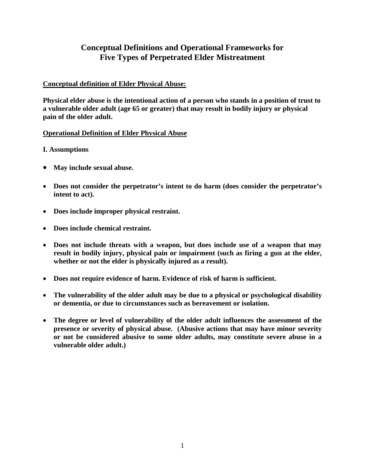# **Conceptual Definitions and Operational Frameworks for Five Types of Perpetrated Elder Mistreatment**

# **Conceptual definition of Elder Physical Abuse:**

**Physical elder abuse is the intentional action of a person who stands in a position of trust to a vulnerable older adult (age 65 or greater) that may result in bodily injury or physical pain of the older adult.**

## **Operational Definition of Elder Physical Abuse**

#### **I. Assumptions**

- **May include sexual abuse.**
- **Does not consider the perpetrator's intent to do harm (does consider the perpetrator's intent to act).**
- **Does include improper physical restraint.**
- **Does include chemical restraint.**
- **Does not include threats with a weapon, but does include use of a weapon that may result in bodily injury, physical pain or impairment (such as firing a gun at the elder, whether or not the elder is physically injured as a result).**
- **Does not require evidence of harm. Evidence of risk of harm is sufficient.**
- **The vulnerability of the older adult may be due to a physical or psychological disability or dementia, or due to circumstances such as bereavement or isolation.**
- **The degree or level of vulnerability of the older adult influences the assessment of the presence or severity of physical abuse. (Abusive actions that may have minor severity or not be considered abusive to some older adults, may constitute severe abuse in a vulnerable older adult.)**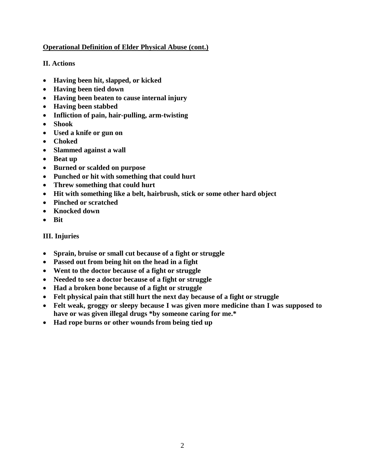# **Operational Definition of Elder Physical Abuse (cont.)**

# **II. Actions**

- **Having been hit, slapped, or kicked**
- **Having been tied down**
- **Having been beaten to cause internal injury**
- **Having been stabbed**
- **Infliction of pain, hair-pulling, arm-twisting**
- **Shook**
- **Used a knife or gun on**
- **Choked**
- **Slammed against a wall**
- **Beat up**
- **Burned or scalded on purpose**
- **Punched or hit with something that could hurt**
- **Threw something that could hurt**
- **Hit with something like a belt, hairbrush, stick or some other hard object**
- **Pinched or scratched**
- **Knocked down**
- **Bit**

# **III. Injuries**

- **Sprain, bruise or small cut because of a fight or struggle**
- **Passed out from being hit on the head in a fight**
- **Went to the doctor because of a fight or struggle**
- **Needed to see a doctor because of a fight or struggle**
- **Had a broken bone because of a fight or struggle**
- **Felt physical pain that still hurt the next day because of a fight or struggle**
- **Felt weak, groggy or sleepy because I was given more medicine than I was supposed to have or was given illegal drugs \*by someone caring for me.\***
- **Had rope burns or other wounds from being tied up**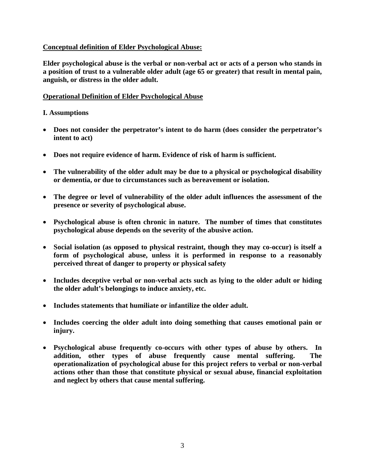#### **Conceptual definition of Elder Psychological Abuse:**

**Elder psychological abuse is the verbal or non-verbal act or acts of a person who stands in a position of trust to a vulnerable older adult (age 65 or greater) that result in mental pain, anguish, or distress in the older adult.**

#### **Operational Definition of Elder Psychological Abuse**

#### **I. Assumptions**

- **Does not consider the perpetrator's intent to do harm (does consider the perpetrator's intent to act)**
- **Does not require evidence of harm. Evidence of risk of harm is sufficient.**
- **The vulnerability of the older adult may be due to a physical or psychological disability or dementia, or due to circumstances such as bereavement or isolation.**
- **The degree or level of vulnerability of the older adult influences the assessment of the presence or severity of psychological abuse.**
- **Psychological abuse is often chronic in nature. The number of times that constitutes psychological abuse depends on the severity of the abusive action.**
- **Social isolation (as opposed to physical restraint, though they may co-occur) is itself a form of psychological abuse, unless it is performed in response to a reasonably perceived threat of danger to property or physical safety**
- **Includes deceptive verbal or non-verbal acts such as lying to the older adult or hiding the older adult's belongings to induce anxiety, etc.**
- **Includes statements that humiliate or infantilize the older adult.**
- **Includes coercing the older adult into doing something that causes emotional pain or injury.**
- **Psychological abuse frequently co-occurs with other types of abuse by others. In addition, other types of abuse frequently cause mental suffering. The operationalization of psychological abuse for this project refers to verbal or non-verbal actions other than those that constitute physical or sexual abuse, financial exploitation and neglect by others that cause mental suffering.**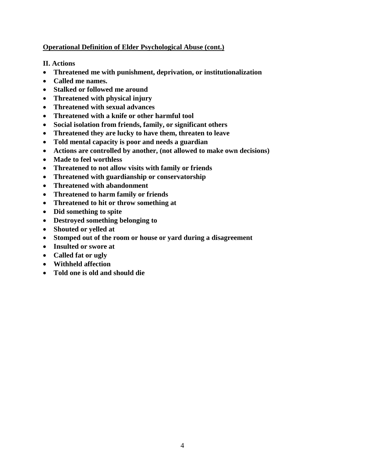# **Operational Definition of Elder Psychological Abuse (cont.)**

# **II. Actions**

- **Threatened me with punishment, deprivation, or institutionalization**
- **Called me names.**
- **Stalked or followed me around**
- **Threatened with physical injury**
- **Threatened with sexual advances**
- **Threatened with a knife or other harmful tool**
- **Social isolation from friends, family, or significant others**
- **Threatened they are lucky to have them, threaten to leave**
- **Told mental capacity is poor and needs a guardian**
- **Actions are controlled by another, (not allowed to make own decisions)**
- **Made to feel worthless**
- **Threatened to not allow visits with family or friends**
- **Threatened with guardianship or conservatorship**
- **Threatened with abandonment**
- **Threatened to harm family or friends**
- **Threatened to hit or throw something at**
- **Did something to spite**
- **Destroyed something belonging to**
- **Shouted or yelled at**
- **Stomped out of the room or house or yard during a disagreement**
- **Insulted or swore at**
- **Called fat or ugly**
- **Withheld affection**
- **Told one is old and should die**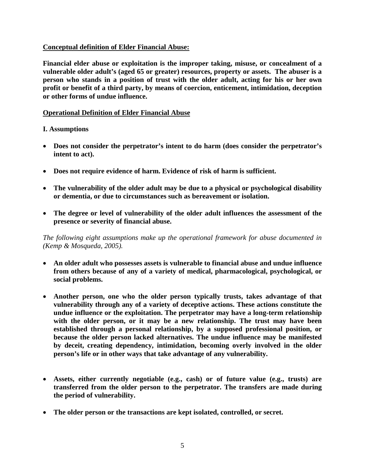#### **Conceptual definition of Elder Financial Abuse:**

**Financial elder abuse or exploitation is the improper taking, misuse, or concealment of a vulnerable older adult's (aged 65 or greater) resources, property or assets. The abuser is a person who stands in a position of trust with the older adult, acting for his or her own profit or benefit of a third party, by means of coercion, enticement, intimidation, deception or other forms of undue influence.**

#### **Operational Definition of Elder Financial Abuse**

#### **I. Assumptions**

- **Does not consider the perpetrator's intent to do harm (does consider the perpetrator's intent to act).**
- **Does not require evidence of harm. Evidence of risk of harm is sufficient.**
- **The vulnerability of the older adult may be due to a physical or psychological disability or dementia, or due to circumstances such as bereavement or isolation.**
- **The degree or level of vulnerability of the older adult influences the assessment of the presence or severity of financial abuse.**

*The following eight assumptions make up the operational framework for abuse documented in (Kemp & Mosqueda, 2005).* 

- **An older adult who possesses assets is vulnerable to financial abuse and undue influence from others because of any of a variety of medical, pharmacological, psychological, or social problems.**
- **Another person, one who the older person typically trusts, takes advantage of that vulnerability through any of a variety of deceptive actions. These actions constitute the undue influence or the exploitation. The perpetrator may have a long-term relationship with the older person, or it may be a new relationship. The trust may have been established through a personal relationship, by a supposed professional position, or because the older person lacked alternatives. The undue influence may be manifested by deceit, creating dependency, intimidation, becoming overly involved in the older person's life or in other ways that take advantage of any vulnerability.**
- **Assets, either currently negotiable (e.g., cash) or of future value (e.g., trusts) are transferred from the older person to the perpetrator. The transfers are made during the period of vulnerability.**
- **The older person or the transactions are kept isolated, controlled, or secret.**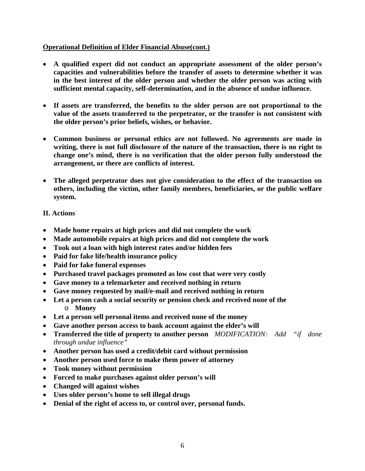## **Operational Definition of Elder Financial Abuse(cont.)**

- **A qualified expert did not conduct an appropriate assessment of the older person's capacities and vulnerabilities before the transfer of assets to determine whether it was in the best interest of the older person and whether the older person was acting with sufficient mental capacity, self-determination, and in the absence of undue influence.**
- **If assets are transferred, the benefits to the older person are not proportional to the value of the assets transferred to the perpetrator, or the transfer is not consistent with the older person's prior beliefs, wishes, or behavior.**
- **Common business or personal ethics are not followed. No agreements are made in writing, there is not full disclosure of the nature of the transaction, there is no right to change one's mind, there is no verification that the older person fully understood the arrangement, or there are conflicts of interest.**
- **The alleged perpetrator does not give consideration to the effect of the transaction on others, including the victim, other family members, beneficiaries, or the public welfare system.**

# **II. Actions**

- **Made home repairs at high prices and did not complete the work**
- **Made automobile repairs at high prices and did not complete the work**
- **Took out a loan with high interest rates and/or hidden fees**
- **Paid for fake life/health insurance policy**
- **Paid for fake funeral expenses**
- **Purchased travel packages promoted as low cost that were very costly**
- **Gave money to a telemarketer and received nothing in return**
- **Gave money requested by mail/e-mail and received nothing in return**
- **Let a person cash a social security or pension check and received none of the**  o **Money**
- **Let a person sell personal items and received none of the money**
- **Gave another person access to bank account against the elder's will**
- **Transferred the title of property to another person** *MODIFICATION: Add "if done through undue influence"*
- **Another person has used a credit/debit card without permission**
- **Another person used force to make them power of attorney**
- **Took money without permission**
- **Forced to make purchases against older person's will**
- **Changed will against wishes**
- **Uses older person's home to sell illegal drugs**
- **Denial of the right of access to, or control over, personal funds.**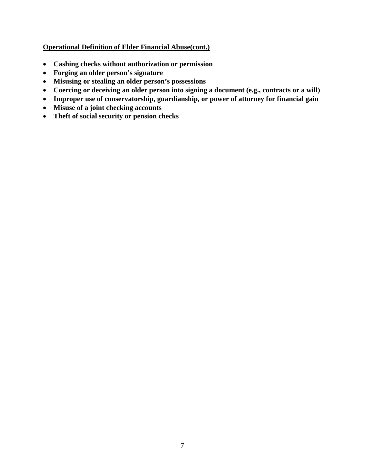# **Operational Definition of Elder Financial Abuse(cont.)**

- **Cashing checks without authorization or permission**
- **Forging an older person's signature**
- **Misusing or stealing an older person's possessions**
- **Coercing or deceiving an older person into signing a document (e.g., contracts or a will)**
- **Improper use of conservatorship, guardianship, or power of attorney for financial gain**
- **Misuse of a joint checking accounts**
- **Theft of social security or pension checks**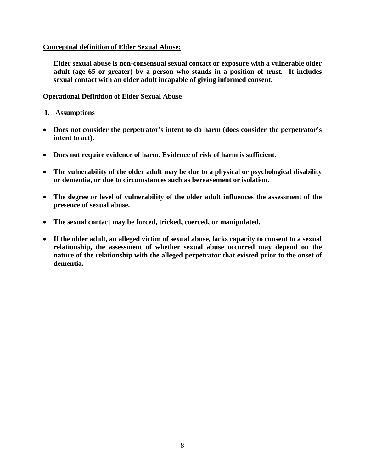#### **Conceptual definition of Elder Sexual Abuse:**

**Elder sexual abuse is non-consensual sexual contact or exposure with a vulnerable older adult (age 65 or greater) by a person who stands in a position of trust. It includes sexual contact with an older adult incapable of giving informed consent.**

#### **Operational Definition of Elder Sexual Abuse**

- **I. Assumptions**
- **Does not consider the perpetrator's intent to do harm (does consider the perpetrator's intent to act).**
- **Does not require evidence of harm. Evidence of risk of harm is sufficient.**
- **The vulnerability of the older adult may be due to a physical or psychological disability or dementia, or due to circumstances such as bereavement or isolation.**
- **The degree or level of vulnerability of the older adult influences the assessment of the presence of sexual abuse.**
- **The sexual contact may be forced, tricked, coerced, or manipulated.**
- **If the older adult, an alleged victim of sexual abuse, lacks capacity to consent to a sexual relationship, the assessment of whether sexual abuse occurred may depend on the nature of the relationship with the alleged perpetrator that existed prior to the onset of dementia.**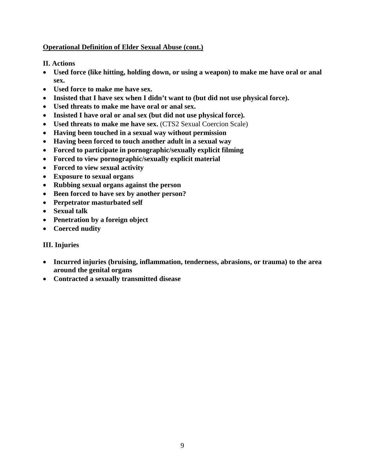# **Operational Definition of Elder Sexual Abuse (cont.)**

**II. Actions**

- **Used force (like hitting, holding down, or using a weapon) to make me have oral or anal sex.**
- **Used force to make me have sex.**
- **Insisted that I have sex when I didn't want to (but did not use physical force).**
- **Used threats to make me have oral or anal sex.**
- **Insisted I have oral or anal sex (but did not use physical force).**
- **Used threats to make me have sex.** (CTS2 Sexual Coercion Scale)
- **Having been touched in a sexual way without permission**
- **Having been forced to touch another adult in a sexual way**
- **Forced to participate in pornographic/sexually explicit filming**
- **Forced to view pornographic/sexually explicit material**
- **Forced to view sexual activity**
- **Exposure to sexual organs**
- **Rubbing sexual organs against the person**
- **Been forced to have sex by another person?**
- **Perpetrator masturbated self**
- **Sexual talk**
- **Penetration by a foreign object**
- **Coerced nudity**

## **III. Injuries**

- **Incurred injuries (bruising, inflammation, tenderness, abrasions, or trauma) to the area around the genital organs**
- **Contracted a sexually transmitted disease**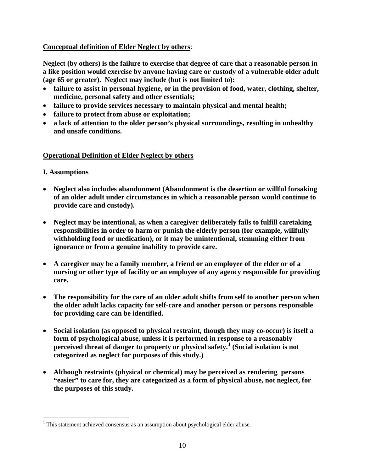# **Conceptual definition of Elder Neglect by others**:

**Neglect (by others) is the failure to exercise that degree of care that a reasonable person in a like position would exercise by anyone having care or custody of a vulnerable older adult (age 65 or greater). Neglect may include (but is not limited to):**

- **failure to assist in personal hygiene, or in the provision of food, water, clothing, shelter, medicine, personal safety and other essentials;**
- **failure to provide services necessary to maintain physical and mental health;**
- **failure to protect from abuse or exploitation;**
- **a lack of attention to the older person's physical surroundings, resulting in unhealthy and unsafe conditions.**

## **Operational Definition of Elder Neglect by others**

## **I. Assumptions**

- **Neglect also includes abandonment (Abandonment is the desertion or willful forsaking of an older adult under circumstances in which a reasonable person would continue to provide care and custody).**
- **Neglect may be intentional, as when a caregiver deliberately fails to fulfill caretaking responsibilities in order to harm or punish the elderly person (for example, willfully withholding food or medication), or it may be unintentional, stemming either from ignorance or from a genuine inability to provide care.**
- **A caregiver may be a family member, a friend or an employee of the elder or of a nursing or other type of facility or an employee of any agency responsible for providing care.**
- **The responsibility for the care of an older adult shifts from self to another person when the older adult lacks capacity for self-care and another person or persons responsible for providing care can be identified.**
- **Social isolation (as opposed to physical restraint, though they may co-occur) is itself a form of psychological abuse, unless it is performed in response to a reasonably perceived threat of danger to property or physical safety.[1](#page-9-0) (Social isolation is not categorized as neglect for purposes of this study.)**
- **Although restraints (physical or chemical) may be perceived as rendering persons "easier" to care for, they are categorized as a form of physical abuse, not neglect, for the purposes of this study.**

<span id="page-9-0"></span> $1$  This statement achieved consensus as an assumption about psychological elder abuse.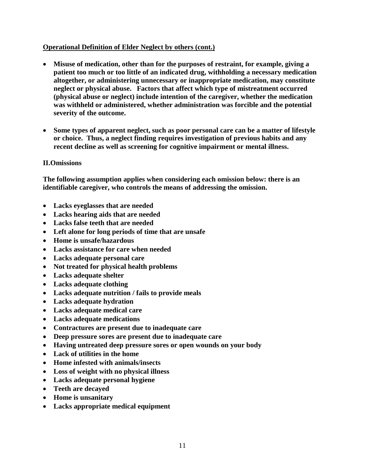## **Operational Definition of Elder Neglect by others (cont.)**

- **Misuse of medication, other than for the purposes of restraint, for example, giving a patient too much or too little of an indicated drug, withholding a necessary medication altogether, or administering unnecessary or inappropriate medication, may constitute neglect or physical abuse. Factors that affect which type of mistreatment occurred (physical abuse or neglect) include intention of the caregiver, whether the medication was withheld or administered, whether administration was forcible and the potential severity of the outcome.**
- **Some types of apparent neglect, such as poor personal care can be a matter of lifestyle or choice. Thus, a neglect finding requires investigation of previous habits and any recent decline as well as screening for cognitive impairment or mental illness.**

#### **II.Omissions**

**The following assumption applies when considering each omission below: there is an identifiable caregiver, who controls the means of addressing the omission.**

- **Lacks eyeglasses that are needed**
- **Lacks hearing aids that are needed**
- **Lacks false teeth that are needed**
- **Left alone for long periods of time that are unsafe**
- **Home is unsafe/hazardous**
- **Lacks assistance for care when needed**
- **Lacks adequate personal care**
- **Not treated for physical health problems**
- **Lacks adequate shelter**
- **Lacks adequate clothing**
- **Lacks adequate nutrition / fails to provide meals**
- **Lacks adequate hydration**
- **Lacks adequate medical care**
- **Lacks adequate medications**
- **Contractures are present due to inadequate care**
- **Deep pressure sores are present due to inadequate care**
- **Having untreated deep pressure sores or open wounds on your body**
- **Lack of utilities in the home**
- **Home infested with animals/insects**
- **Loss of weight with no physical illness**
- **Lacks adequate personal hygiene**
- **Teeth are decayed**
- **Home is unsanitary**
- **Lacks appropriate medical equipment**